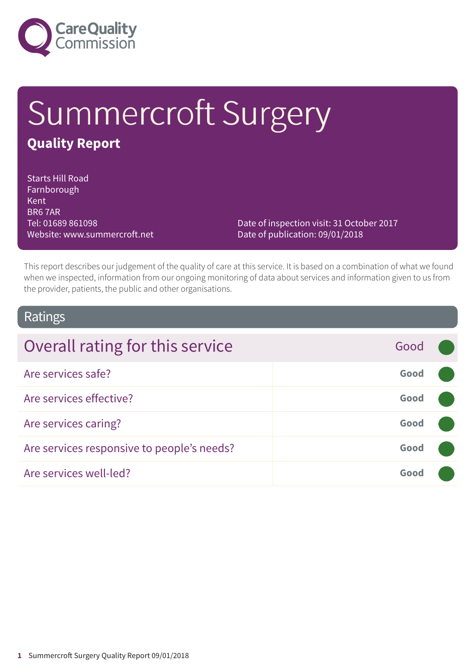

# Summercroft Surgery **Quality Report**

Starts Hill Road Farnborough **Kent** BR6 7AR Tel: 01689 861098 Website: www.summercroft.net

Date of inspection visit: 31 October 2017 Date of publication: 09/01/2018

This report describes our judgement of the quality of care at this service. It is based on a combination of what we found when we inspected, information from our ongoing monitoring of data about services and information given to us from the provider, patients, the public and other organisations.

### Ratings

| Overall rating for this service            | Good |  |
|--------------------------------------------|------|--|
| Are services safe?                         | Good |  |
| Are services effective?                    | Good |  |
| Are services caring?                       | Good |  |
| Are services responsive to people's needs? | Good |  |
| Are services well-led?                     | Good |  |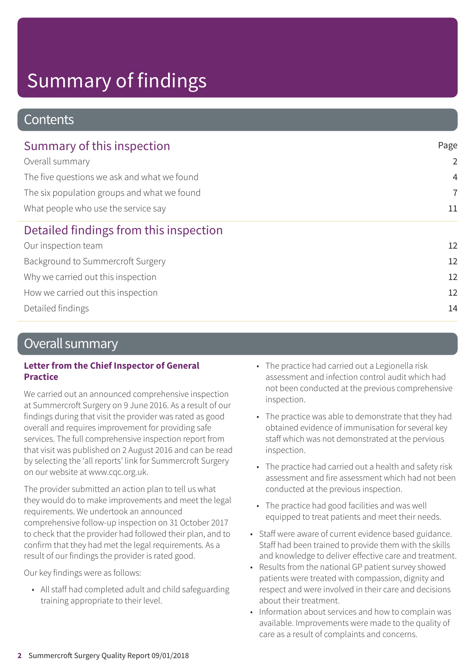### **Contents**

| Summary of this inspection<br>Overall summary<br>The five questions we ask and what we found<br>The six population groups and what we found<br>What people who use the service say | Page           |
|------------------------------------------------------------------------------------------------------------------------------------------------------------------------------------|----------------|
|                                                                                                                                                                                    | $\overline{2}$ |
|                                                                                                                                                                                    | $\overline{4}$ |
|                                                                                                                                                                                    | $\overline{7}$ |
|                                                                                                                                                                                    | 11             |
| Detailed findings from this inspection                                                                                                                                             |                |
| Our inspection team                                                                                                                                                                | 12             |
| Background to Summercroft Surgery                                                                                                                                                  | 12             |
| Why we carried out this inspection                                                                                                                                                 | 12             |
| How we carried out this inspection                                                                                                                                                 | 12             |
| Detailed findings                                                                                                                                                                  | 14             |
|                                                                                                                                                                                    |                |

### Overall summary

#### **Letter from the Chief Inspector of General Practice**

We carried out an announced comprehensive inspection at Summercroft Surgery on 9 June 2016. As a result of our findings during that visit the provider was rated as good overall and requires improvement for providing safe services. The full comprehensive inspection report from that visit was published on 2 August 2016 and can be read by selecting the 'all reports' link for Summercroft Surgery on our website at www.cqc.org.uk.

The provider submitted an action plan to tell us what they would do to make improvements and meet the legal requirements. We undertook an announced comprehensive follow-up inspection on 31 October 2017 to check that the provider had followed their plan, and to confirm that they had met the legal requirements. As a result of our findings the provider is rated good.

Our key findings were as follows:

• All staff had completed adult and child safeguarding training appropriate to their level.

- The practice had carried out a Legionella risk assessment and infection control audit which had not been conducted at the previous comprehensive inspection.
- The practice was able to demonstrate that they had obtained evidence of immunisation for several key staff which was not demonstrated at the pervious inspection.
- The practice had carried out a health and safety risk assessment and fire assessment which had not been conducted at the previous inspection.
- The practice had good facilities and was well equipped to treat patients and meet their needs.
- Staff were aware of current evidence based guidance. Staff had been trained to provide them with the skills and knowledge to deliver effective care and treatment.
- Results from the national GP patient survey showed patients were treated with compassion, dignity and respect and were involved in their care and decisions about their treatment.
- Information about services and how to complain was available. Improvements were made to the quality of care as a result of complaints and concerns.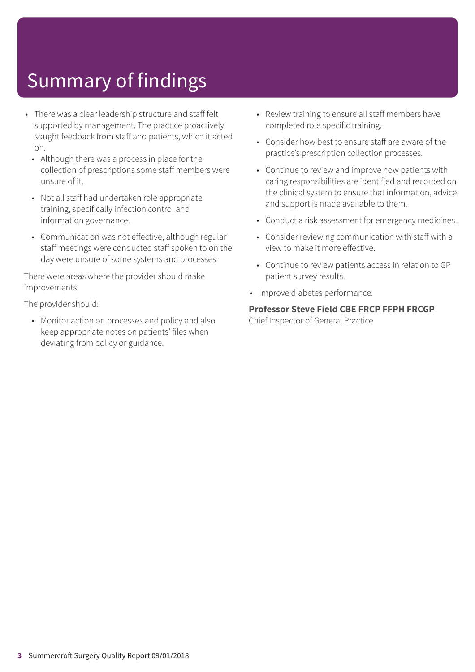- There was a clear leadership structure and staff felt supported by management. The practice proactively sought feedback from staff and patients, which it acted on.
	- Although there was a process in place for the collection of prescriptions some staff members were unsure of it.
	- Not all staff had undertaken role appropriate training, specifically infection control and information governance.
	- Communication was not effective, although regular staff meetings were conducted staff spoken to on the day were unsure of some systems and processes.

There were areas where the provider should make improvements.

The provider should:

• Monitor action on processes and policy and also keep appropriate notes on patients' files when deviating from policy or guidance.

- Review training to ensure all staff members have completed role specific training.
- Consider how best to ensure staff are aware of the practice's prescription collection processes.
- Continue to review and improve how patients with caring responsibilities are identified and recorded on the clinical system to ensure that information, advice and support is made available to them.
- Conduct a risk assessment for emergency medicines.
- Consider reviewing communication with staff with a view to make it more effective.
- Continue to review patients access in relation to GP patient survey results.
- Improve diabetes performance.

#### **Professor Steve Field CBE FRCP FFPH FRCGP**

Chief Inspector of General Practice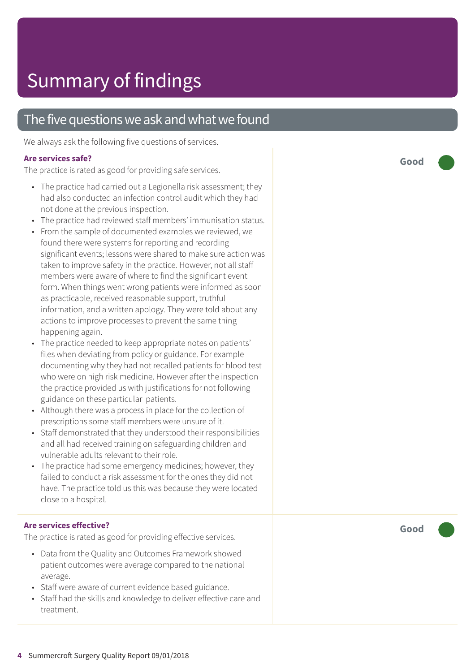### The five questions we ask and what we found

We always ask the following five questions of services.

#### **Ar e services safe ?**

The practic e is rated as good for providing saf e services.

- The practice had carried out a Legionella risk assessment; they had also conducted an infection control audit which the y had not done at the pr evious inspection.
- The practice had reviewed staff members' immunisation status.
- F rom the sample of documented examples we r eviewed, we found there were systems for reporting and recording significant events; lessons wer e shared t o mak e sur e action was taken to improve safety in the practice. However, not all staff member s wer e awar e of wher e t o find the significant event form. When things went wrong patients wer e informed as soon as practicable, received r easonable support , truthful information, and a written apology. The y wer e told about any actions t o improve processes t o pr event the same thing happening again.
- The practice needed to keep appropriate notes on patients' files when deviating from polic y or guidanc e. For example documenting why the y had not recalled patients for blood test who wer e on high risk medicine. However after the inspection the practic e provided us with justifications for not following guidanc e on these particular patients.
- Although there was a process in place for the collection of prescriptions some staff member s wer e unsur e of it.
- Staff demonstrated that they understood their responsibilities and all had received training on saf eguarding children and vulnerable adults rele vant t o their role.
- The practice had some emergency medicines; however, they failed t o conduct a risk assessment for the ones the y did not have. The practice told us this was because they were located close t o a hospital.

### **Ar e services effective ?**

The practic e is rated as good for providing effective services.

- Dat a from the Quality and Out comes F ramework showed patient out comes wer e averag e compared t o the national average.
- Staff wer e awar e of current evidenc e based guidance.
- Staff had the skills and knowledge to deliver effective care and tr eatment.

**Good –––**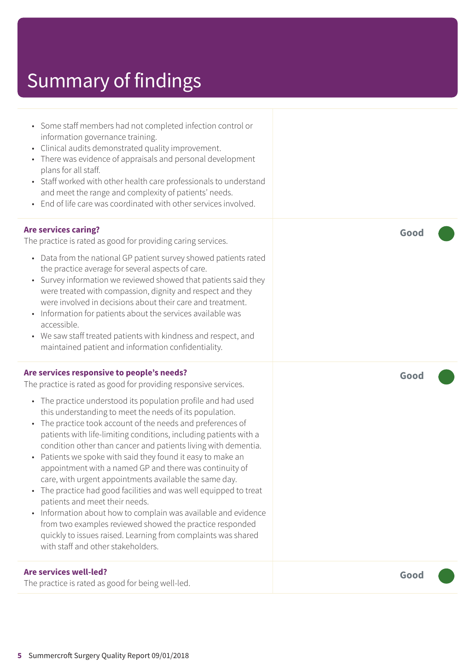- Some staff members had not completed infection control or information governance training. • Clinical audits demonstrated quality improvement. • There was evidence of appraisals and personal development plans for all staff. • Staff worked with other health care professionals to understand and meet the range and complexity of patients' needs. • End of life care was coordinated with other services involved. **Are services caring?** The practice is rated as good for providing caring services. • Data from the national GP patient survey showed patients rated the practice average for several aspects of care. • Survey information we reviewed showed that patients said they were treated with compassion, dignity and respect and they
	- Information for patients about the services available was accessible.
	- We saw staff treated patients with kindness and respect, and maintained patient and information confidentiality.

were involved in decisions about their care and treatment.

#### **Are services responsive to people's needs?**

The practice is rated as good for providing responsive services.

- The practice understood its population profile and had used this understanding to meet the needs of its population.
- The practice took account of the needs and preferences of patients with life-limiting conditions, including patients with a condition other than cancer and patients living with dementia.
- Patients we spoke with said they found it easy to make an appointment with a named GP and there was continuity of care, with urgent appointments available the same day.
- The practice had good facilities and was well equipped to treat patients and meet their needs.
- Information about how to complain was available and evidence from two examples reviewed showed the practice responded quickly to issues raised. Learning from complaints was shared with staff and other stakeholders.

#### **Are services well-led?**

The practice is rated as good for being well-led.

**Good –––**

**Good –––**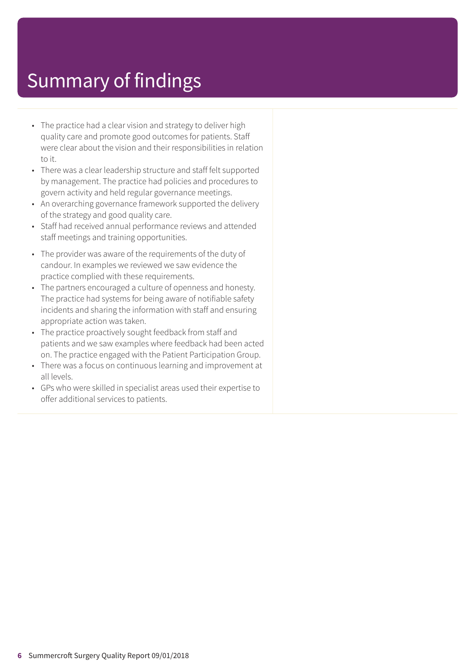- The practice had a clear vision and strategy to deliver high quality care and promote good outcomes for patients. Staff were clear about the vision and their responsibilities in relation to it.
- There was a clear leadership structure and staff felt supported by management. The practice had policies and procedures to govern activity and held regular governance meetings.
- An overarching governance framework supported the delivery of the strategy and good quality care.
- Staff had received annual performance reviews and attended staff meetings and training opportunities.
- The provider was aware of the requirements of the duty of candour. In examples we reviewed we saw evidence the practice complied with these requirements.
- The partners encouraged a culture of openness and honesty. The practice had systems for being aware of notifiable safety incidents and sharing the information with staff and ensuring appropriate action was taken.
- The practice proactively sought feedback from staff and patients and we saw examples where feedback had been acted on. The practice engaged with the Patient Participation Group.
- There was a focus on continuous learning and improvement at all levels.
- GPs who were skilled in specialist areas used their expertise to offer additional services to patients.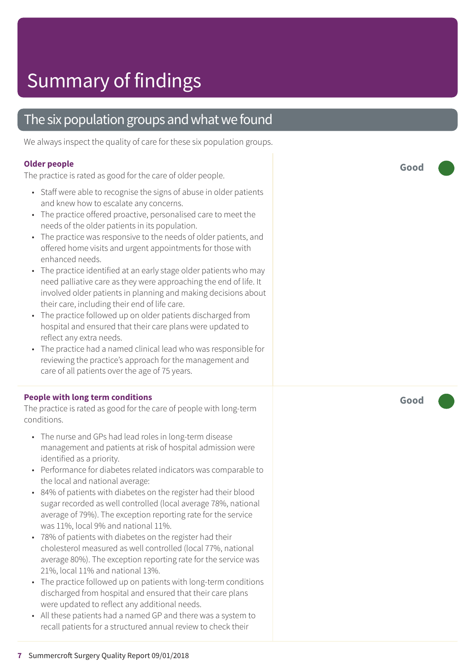### The six population groups and what we found

We always inspect the quality of care for these six population groups.

#### **Older people**

The practice is rated as good for the care of older people.

- Staff were able to recognise the signs of abuse in older patients and kne w how t o escalat e any concerns.
- The practice offered proactive, personalised care to meet the needs of the older patients in its population.
- The practice was responsive to the needs of older patients, and offered home visits and ur gent appointments for those with enhanced needs.
- The practice identified at an early stage older patients who may need palliative care as they were approaching the end of life. It involved older patients in planning and making decisions about their care, including their end of lif e care.
- The practice followed up on older patients discharged from hospital and ensured that their care plans were updated to reflect any extr a needs.
- The practic e had a named clinical lead who was responsible for reviewing the practice's approach for the management and car e of all patients over the ag e of 75 years.

#### **People with long term conditions**

The practice is rated as good for the care of people with long-term conditions.

- The nurse and GP s had lead roles in long-term disease management and patients at risk of hospital admission wer e identified as a priority.
- Performance for diabetes related indicators was comparable to the local and national average:
- 84% of patients with diabetes on the register had their blood sugar recorded as well controlled (local averag e 78%, national average of 79%). The exception reporting rate for the service was 11%, local 9% and national 11%.
- 78% of patients with diabe tes on the r egister had their cholesterol measured as well controlled (local 77%, national average 80%). The exception reporting rate for the service was 21%, local 11% and national 13%.
- The practice followed up on patients with long-term conditions dischar ged from hospital and ensured that their car e plans were updated to reflect any additional needs.
- All these patients had a named GP and there was a system to recall patients for a structured annual review to check their

**Good –––**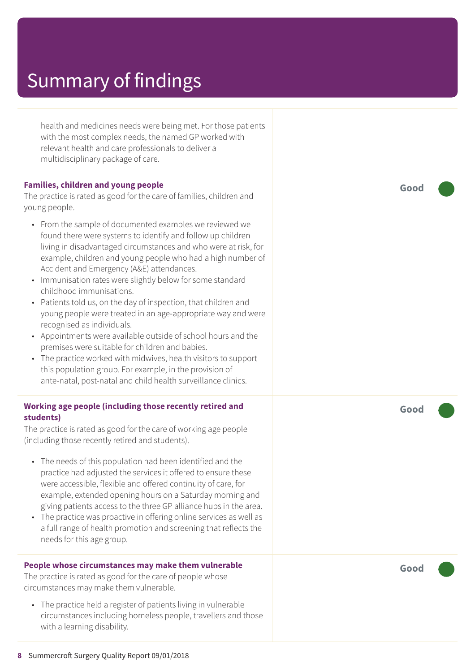| health and medicines needs were being met. For those patients<br>with the most complex needs, the named GP worked with<br>relevant health and care professionals to deliver a<br>multidisciplinary package of care.                                                                                                                                                                                                                                                                                                                                                                                                                                                                                                                                                                                                                                                                                   |  |
|-------------------------------------------------------------------------------------------------------------------------------------------------------------------------------------------------------------------------------------------------------------------------------------------------------------------------------------------------------------------------------------------------------------------------------------------------------------------------------------------------------------------------------------------------------------------------------------------------------------------------------------------------------------------------------------------------------------------------------------------------------------------------------------------------------------------------------------------------------------------------------------------------------|--|
| <b>Families, children and young people</b><br>The practice is rated as good for the care of families, children and<br>young people.                                                                                                                                                                                                                                                                                                                                                                                                                                                                                                                                                                                                                                                                                                                                                                   |  |
| • From the sample of documented examples we reviewed we<br>found there were systems to identify and follow up children<br>living in disadvantaged circumstances and who were at risk, for<br>example, children and young people who had a high number of<br>Accident and Emergency (A&E) attendances.<br>Immunisation rates were slightly below for some standard<br>$\bullet$<br>childhood immunisations.<br>Patients told us, on the day of inspection, that children and<br>$\bullet$<br>young people were treated in an age-appropriate way and were<br>recognised as individuals.<br>Appointments were available outside of school hours and the<br>premises were suitable for children and babies.<br>The practice worked with midwives, health visitors to support<br>this population group. For example, in the provision of<br>ante-natal, post-natal and child health surveillance clinics. |  |
| Working age people (including those recently retired and<br>students)                                                                                                                                                                                                                                                                                                                                                                                                                                                                                                                                                                                                                                                                                                                                                                                                                                 |  |
| The practice is rated as good for the care of working age people<br>(including those recently retired and students).                                                                                                                                                                                                                                                                                                                                                                                                                                                                                                                                                                                                                                                                                                                                                                                  |  |
| • The needs of this population had been identified and the<br>practice had adjusted the services it offered to ensure these<br>were accessible, flexible and offered continuity of care, for<br>example, extended opening hours on a Saturday morning and<br>giving patients access to the three GP alliance hubs in the area.<br>The practice was proactive in offering online services as well as<br>a full range of health promotion and screening that reflects the<br>needs for this age group.                                                                                                                                                                                                                                                                                                                                                                                                  |  |
| People whose circumstances may make them vulnerable<br>The practice is rated as good for the care of people whose<br>circumstances may make them vulnerable.                                                                                                                                                                                                                                                                                                                                                                                                                                                                                                                                                                                                                                                                                                                                          |  |

• The practice held a register of patients living in vulnerable circumstances including homeless people, travellers and those with a learning disability.

**Good –––**

**Good –––**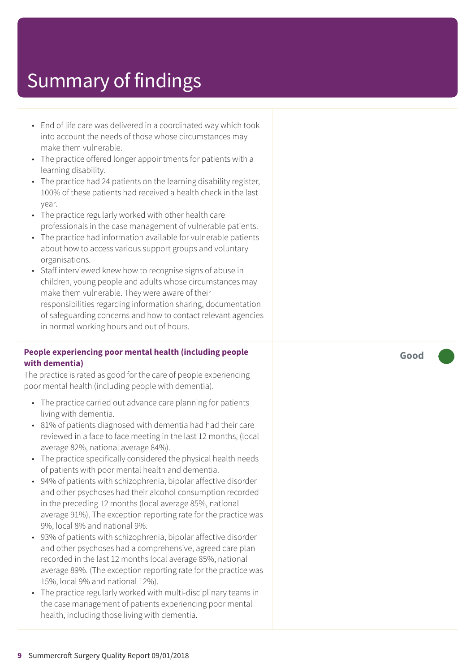- End of lif e car e was delivered in a coordinated way which took int o ac count the needs of those whose circumstances may mak e them vulnerable.
- The practic e offered longer appointments for patients with a learning disability.
- The practice had 24 patients on the learning disability register, 100% of these patients had received a health check in the last year.
- The practice regularly worked with other health care professionals in the case management of vulnerable patients.
- The practic e had information available for vulnerable patients about how t o ac cess various support groups and voluntar y or ganisations.
- Staff interviewed knew how to recognise signs of abuse in children, young people and adults whose circumstances may mak e them vulnerable. The y wer e awar e of their responsibilities regarding information sharing, documentation of saf eguarding concerns and how t o contact rele vant agencies in normal working hour s and out of hours.

#### **People experiencing poor mental health (including people with dementia)**

The practice is rated as good for the care of people experiencing poor mental health (including people with dementia).

- The practice carried out advance care planning for patients living with dementia.
- 81% of patients diagnosed with dementia had had their car e r eviewed in a fac e t o fac e meeting in the last 12 months, (local averag e 82%, national averag e 84%).
- The practic e specifically considered the physical health needs of patients with poor mental health and dementia.
- 94% of patients with schizophrenia, bipolar affective disorder and other psychoses had their alcohol consumption recorded in the preceding 12 months (local averag e 85%, national average 91%). The exception reporting rate for the practice was 9%, local 8% and national 9%.
- 93% of patients with schizophrenia, bipolar affective disorder and other psychoses had a comprehensive, agreed car e plan recorded in the last 12 months local averag e 85%, national average 89%. (The exception reporting rate for the practice was 15%, local 9% and national 12%).
- The practice regularly worked with multi-disciplinary teams in the case management of patients experiencing poor mental health, including those living with dementia.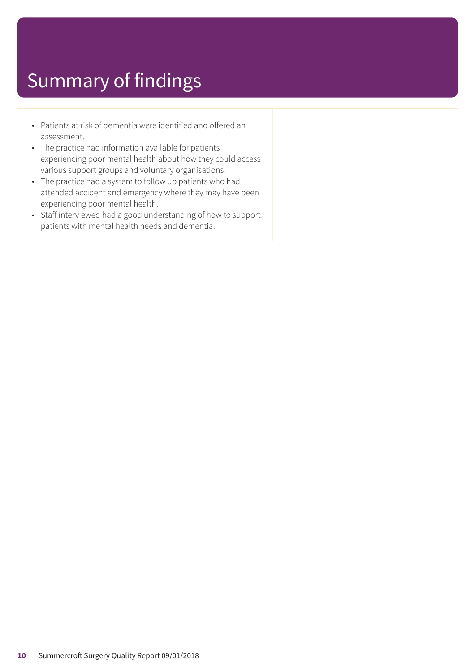- Patients at risk of dementia were identified and offered an assessment.
- The practice had information available for patients experiencing poor mental health about how they could access various support groups and voluntary organisations.
- The practice had a system to follow up patients who had attended accident and emergency where they may have been experiencing poor mental health.
- Staff interviewed had a good understanding of how to support patients with mental health needs and dementia.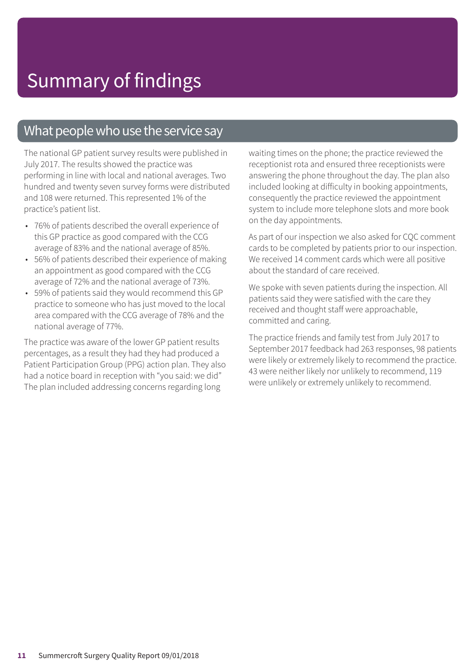### What people who use the service say

The national GP patient survey results were published in July 2017. The results showed the practice was performing in line with local and national averages. Two hundred and twenty seven survey forms were distributed and 108 were returned. This represented 1% of the practice's patient list.

- 76% of patients described the overall experience of this GP practice as good compared with the CCG average of 83% and the national average of 85%.
- 56% of patients described their experience of making an appointment as good compared with the CCG average of 72% and the national average of 73%.
- 59% of patients said they would recommend this GP practice to someone who has just moved to the local area compared with the CCG average of 78% and the national average of 77%.

The practice was aware of the lower GP patient results percentages, as a result they had they had produced a Patient Participation Group (PPG) action plan. They also had a notice board in reception with "you said: we did" The plan included addressing concerns regarding long

waiting times on the phone; the practice reviewed the receptionist rota and ensured three receptionists were answering the phone throughout the day. The plan also included looking at difficulty in booking appointments, consequently the practice reviewed the appointment system to include more telephone slots and more book on the day appointments.

As part of our inspection we also asked for CQC comment cards to be completed by patients prior to our inspection. We received 14 comment cards which were all positive about the standard of care received.

We spoke with seven patients during the inspection. All patients said they were satisfied with the care they received and thought staff were approachable, committed and caring.

The practice friends and family test from July 2017 to September 2017 feedback had 263 responses, 98 patients were likely or extremely likely to recommend the practice. 43 were neither likely nor unlikely to recommend, 119 were unlikely or extremely unlikely to recommend.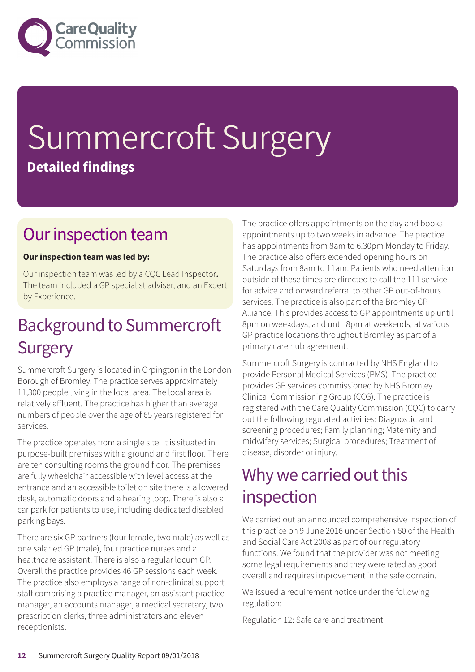

# Summercroft Surgery **Detailed findings**

### Our inspection team

### **Our inspection team was led by:**

Our inspection team was led by a CQC Lead Inspector**.** The team included a GP specialist adviser, and an Expert by Experience.

### **Background to Summercroft Surgery**

Summercroft Surgery is located in Orpington in the London Borough of Bromley. The practice serves approximately 11,300 people living in the local area. The local area is relatively affluent. The practice has higher than average numbers of people over the age of 65 years registered for services.

The practice operates from a single site. It is situated in purpose-built premises with a ground and first floor. There are ten consulting rooms the ground floor. The premises are fully wheelchair accessible with level access at the entrance and an accessible toilet on site there is a lowered desk, automatic doors and a hearing loop. There is also a car park for patients to use, including dedicated disabled parking bays.

There are six GP partners (four female, two male) as well as one salaried GP (male), four practice nurses and a healthcare assistant. There is also a regular locum GP. Overall the practice provides 46 GP sessions each week. The practice also employs a range of non-clinical support staff comprising a practice manager, an assistant practice manager, an accounts manager, a medical secretary, two prescription clerks, three administrators and eleven receptionists.

The practice offers appointments on the day and books appointments up to two weeks in advance. The practice has appointments from 8am to 6.30pm Monday to Friday. The practice also offers extended opening hours on Saturdays from 8am to 11am. Patients who need attention outside of these times are directed to call the 111 service for advice and onward referral to other GP out-of-hours services. The practice is also part of the Bromley GP Alliance. This provides access to GP appointments up until 8pm on weekdays, and until 8pm at weekends, at various GP practice locations throughout Bromley as part of a primary care hub agreement.

Summercroft Surgery is contracted by NHS England to provide Personal Medical Services (PMS). The practice provides GP services commissioned by NHS Bromley Clinical Commissioning Group (CCG). The practice is registered with the Care Quality Commission (CQC) to carry out the following regulated activities: Diagnostic and screening procedures; Family planning; Maternity and midwifery services; Surgical procedures; Treatment of disease, disorder or injury.

### Why we carried out this inspection

We carried out an announced comprehensive inspection of this practice on 9 June 2016 under Section 60 of the Health and Social Care Act 2008 as part of our regulatory functions. We found that the provider was not meeting some legal requirements and they were rated as good overall and requires improvement in the safe domain.

We issued a requirement notice under the following regulation:

Regulation 12: Safe care and treatment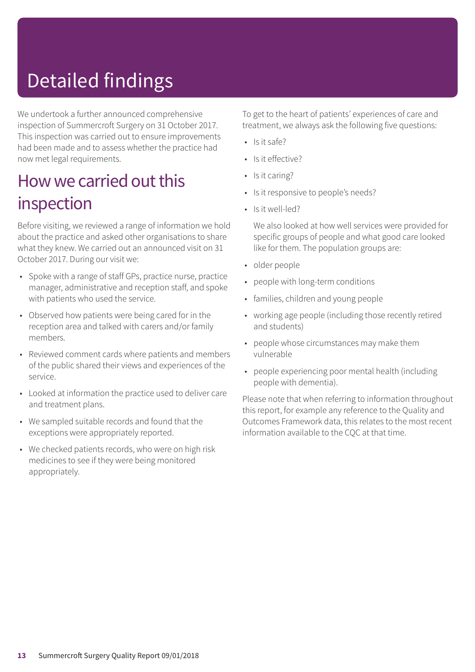# Detailed findings

We undertook a further announced comprehensive inspection of Summercroft Surgery on 31 October 2017. This inspection was carried out to ensure improvements had been made and to assess whether the practice had now met legal requirements.

### How we carried out this inspection

Before visiting, we reviewed a range of information we hold about the practice and asked other organisations to share what they knew. We carried out an announced visit on 31 October 2017. During our visit we:

- Spoke with a range of staff GPs, practice nurse, practice manager, administrative and reception staff, and spoke with patients who used the service.
- Observed how patients were being cared for in the reception area and talked with carers and/or family members.
- Reviewed comment cards where patients and members of the public shared their views and experiences of the service.
- Looked at information the practice used to deliver care and treatment plans.
- We sampled suitable records and found that the exceptions were appropriately reported.
- We checked patients records, who were on high risk medicines to see if they were being monitored appropriately.

To get to the heart of patients' experiences of care and treatment, we always ask the following five questions:

- $\cdot$  Is it safe?
- Is it effective?
- Is it caring?
- Is it responsive to people's needs?
- Is it well-led?

We also looked at how well services were provided for specific groups of people and what good care looked like for them. The population groups are:

- older people
- people with long-term conditions
- families, children and young people
- working age people (including those recently retired and students)
- people whose circumstances may make them vulnerable
- people experiencing poor mental health (including people with dementia).

Please note that when referring to information throughout this report, for example any reference to the Quality and Outcomes Framework data, this relates to the most recent information available to the CQC at that time.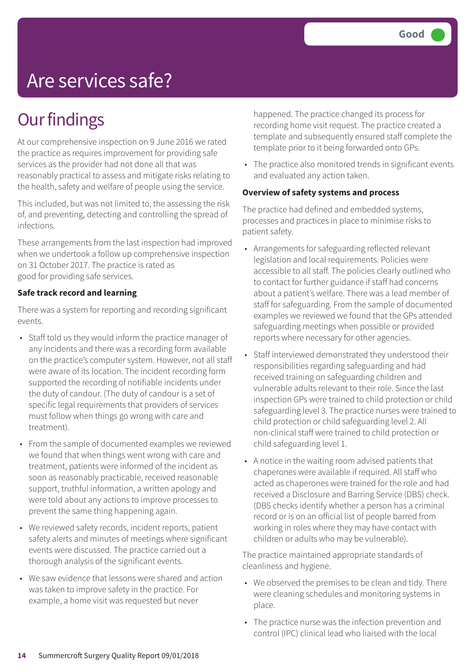## Are services safe?

### **Our findings**

At our comprehensive inspection on 9 June 2016 we rated the practice as requires improvement for providing safe services as the provider had not done all that was reasonably practical to assess and mitigate risks relating to the health, safety and welfare of people using the service.

This included, but was not limited to, the assessing the risk of, and preventing, detecting and controlling the spread of infections.

These arrangements from the last inspection had improved when we undertook a follow up comprehensive inspection on 31 October 2017. The practice is rated as good for providing safe services.

#### **Safe track record and learning**

There was a system for reporting and recording significant events.

- Staff told us they would inform the practice manager of any incidents and there was a recording form available on the practice's computer system. However, not all staff were aware of its location. The incident recording form supported the recording of notifiable incidents under the duty of candour. (The duty of candour is a set of specific legal requirements that providers of services must follow when things go wrong with care and treatment).
- From the sample of documented examples we reviewed we found that when things went wrong with care and treatment, patients were informed of the incident as soon as reasonably practicable, received reasonable support, truthful information, a written apology and were told about any actions to improve processes to prevent the same thing happening again.
- We reviewed safety records, incident reports, patient safety alerts and minutes of meetings where significant events were discussed. The practice carried out a thorough analysis of the significant events.
- We saw evidence that lessons were shared and action was taken to improve safety in the practice. For example, a home visit was requested but never

happened. The practice changed its process for recording home visit request. The practice created a template and subsequently ensured staff complete the template prior to it being forwarded onto GPs.

• The practice also monitored trends in significant events and evaluated any action taken.

#### **Overview of safety systems and process**

The practice had defined and embedded systems, processes and practices in place to minimise risks to patient safety.

- Arrangements for safeguarding reflected relevant legislation and local requirements. Policies were accessible to all staff. The policies clearly outlined who to contact for further guidance if staff had concerns about a patient's welfare. There was a lead member of staff for safeguarding. From the sample of documented examples we reviewed we found that the GPs attended safeguarding meetings when possible or provided reports where necessary for other agencies.
- Staff interviewed demonstrated they understood their responsibilities regarding safeguarding and had received training on safeguarding children and vulnerable adults relevant to their role. Since the last inspection GPs were trained to child protection or child safeguarding level 3. The practice nurses were trained to child protection or child safeguarding level 2. All non-clinical staff were trained to child protection or child safeguarding level 1.
- A notice in the waiting room advised patients that chaperones were available if required. All staff who acted as chaperones were trained for the role and had received a Disclosure and Barring Service (DBS) check. (DBS checks identify whether a person has a criminal record or is on an official list of people barred from working in roles where they may have contact with children or adults who may be vulnerable).

The practice maintained appropriate standards of cleanliness and hygiene.

- We observed the premises to be clean and tidy. There were cleaning schedules and monitoring systems in place.
- The practice nurse was the infection prevention and control (IPC) clinical lead who liaised with the local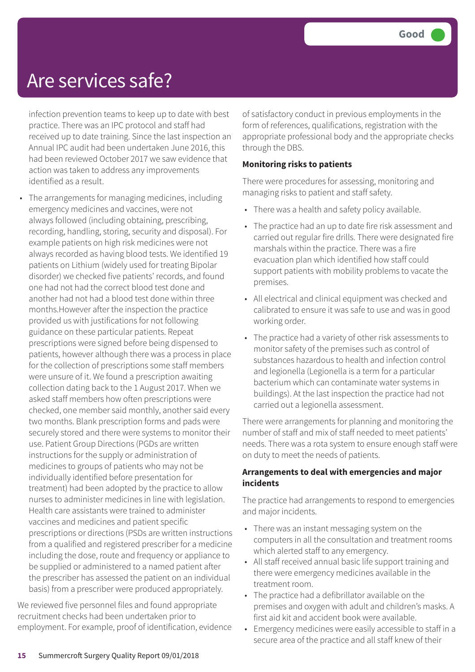### Are services safe?

infection prevention teams to keep up to date with best practice. There was an IPC protocol and staff had received up to date training. Since the last inspection an Annual IPC audit had been undertaken June 2016, this had been reviewed October 2017 we saw evidence that action was taken to address any improvements identified as a result.

• The arrangements for managing medicines, including emergency medicines and vaccines, were not always followed (including obtaining, prescribing, recording, handling, storing, security and disposal). For example patients on high risk medicines were not always recorded as having blood tests. We identified 19 patients on Lithium (widely used for treating Bipolar disorder) we checked five patients' records, and found one had not had the correct blood test done and another had not had a blood test done within three months.However after the inspection the practice provided us with justifications for not following guidance on these particular patients. Repeat prescriptions were signed before being dispensed to patients, however although there was a process in place for the collection of prescriptions some staff members were unsure of it. We found a prescription awaiting collection dating back to the 1 August 2017. When we asked staff members how often prescriptions were checked, one member said monthly, another said every two months. Blank prescription forms and pads were securely stored and there were systems to monitor their use. Patient Group Directions (PGDs are written instructions for the supply or administration of medicines to groups of patients who may not be individually identified before presentation for treatment) had been adopted by the practice to allow nurses to administer medicines in line with legislation. Health care assistants were trained to administer vaccines and medicines and patient specific prescriptions or directions (PSDs are written instructions from a qualified and registered prescriber for a medicine including the dose, route and frequency or appliance to be supplied or administered to a named patient after the prescriber has assessed the patient on an individual basis) from a prescriber were produced appropriately.

We reviewed five personnel files and found appropriate recruitment checks had been undertaken prior to employment. For example, proof of identification, evidence of satisfactory conduct in previous employments in the form of references, qualifications, registration with the appropriate professional body and the appropriate checks through the DBS.

#### **Monitoring risks to patients**

There were procedures for assessing, monitoring and managing risks to patient and staff safety.

- There was a health and safety policy available.
- The practice had an up to date fire risk assessment and carried out regular fire drills. There were designated fire marshals within the practice. There was a fire evacuation plan which identified how staff could support patients with mobility problems to vacate the premises.
- All electrical and clinical equipment was checked and calibrated to ensure it was safe to use and was in good working order.
- The practice had a variety of other risk assessments to monitor safety of the premises such as control of substances hazardous to health and infection control and legionella (Legionella is a term for a particular bacterium which can contaminate water systems in buildings). At the last inspection the practice had not carried out a legionella assessment.

There were arrangements for planning and monitoring the number of staff and mix of staff needed to meet patients' needs. There was a rota system to ensure enough staff were on duty to meet the needs of patients.

#### **Arrangements to deal with emergencies and major incidents**

The practice had arrangements to respond to emergencies and major incidents.

- There was an instant messaging system on the computers in all the consultation and treatment rooms which alerted staff to any emergency.
- All staff received annual basic life support training and there were emergency medicines available in the treatment room.
- The practice had a defibrillator available on the premises and oxygen with adult and children's masks. A first aid kit and accident book were available.
- Emergency medicines were easily accessible to staff in a secure area of the practice and all staff knew of their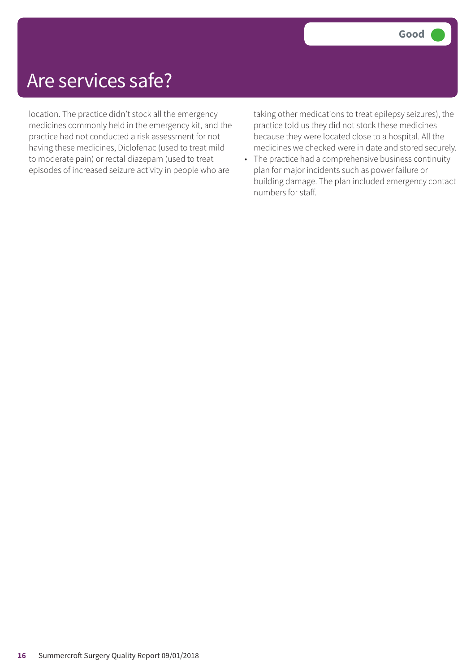### Are services safe?

location. The practice didn't stock all the emergency medicines commonly held in the emergency kit, and the practice had not conducted a risk assessment for not having these medicines, Diclofenac (used to treat mild to moderate pain) or rectal diazepam (used to treat episodes of increased seizure activity in people who are

taking other medications to treat epilepsy seizures), the practice told us they did not stock these medicines because they were located close to a hospital. All the medicines we checked were in date and stored securely.

• The practice had a comprehensive business continuity plan for major incidents such as power failure or building damage. The plan included emergency contact numbers for staff.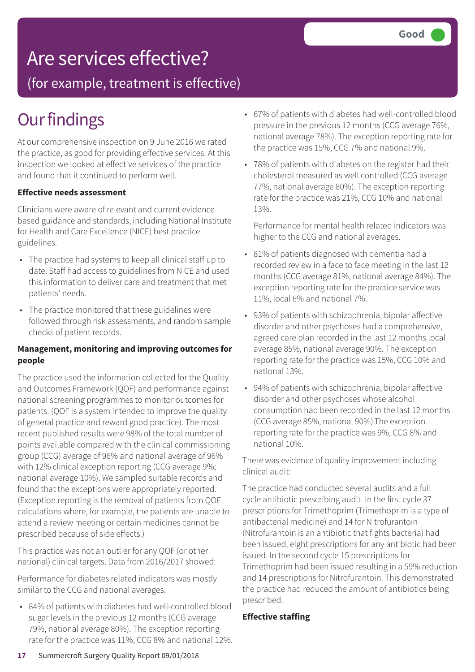## Are services effective?

(for example, treatment is effective)

## **Our findings**

At our comprehensive inspection on 9 June 2016 we rated the practice, as good for providing effective services. At this inspection we looked at effective services of the practice and found that it continued to perform well.

#### **Effective needs assessment**

Clinicians were aware of relevant and current evidence based guidance and standards, including National Institute for Health and Care Excellence (NICE) best practice guidelines.

- The practice had systems to keep all clinical staff up to date. Staff had access to guidelines from NICE and used this information to deliver care and treatment that met patients' needs.
- The practice monitored that these guidelines were followed through risk assessments, and random sample checks of patient records.

#### **Management, monitoring and improving outcomes for people**

The practice used the information collected for the Quality and Outcomes Framework (QOF) and performance against national screening programmes to monitor outcomes for patients. (QOF is a system intended to improve the quality of general practice and reward good practice). The most recent published results were 98% of the total number of points available compared with the clinical commissioning group (CCG) average of 96% and national average of 96% with 12% clinical exception reporting (CCG average 9%; national average 10%). We sampled suitable records and found that the exceptions were appropriately reported. (Exception reporting is the removal of patients from QOF calculations where, for example, the patients are unable to attend a review meeting or certain medicines cannot be prescribed because of side effects.)

This practice was not an outlier for any QOF (or other national) clinical targets. Data from 2016/2017 showed:

Performance for diabetes related indicators was mostly similar to the CCG and national averages.

• 84% of patients with diabetes had well-controlled blood sugar levels in the previous 12 months (CCG average 79%, national average 80%). The exception reporting rate for the practice was 11%, CCG 8% and national 12%.

- 67% of patients with diabetes had well-controlled blood pressure in the previous 12 months (CCG average 76%, national average 78%). The exception reporting rate for the practice was 15%, CCG 7% and national 9%.
- 78% of patients with diabetes on the register had their cholesterol measured as well controlled (CCG average 77%, national average 80%). The exception reporting rate for the practice was 21%, CCG 10% and national 13%.

Performance for mental health related indicators was higher to the CCG and national averages.

- 81% of patients diagnosed with dementia had a recorded review in a face to face meeting in the last 12 months (CCG average 81%, national average 84%). The exception reporting rate for the practice service was 11%, local 6% and national 7%.
- 93% of patients with schizophrenia, bipolar affective disorder and other psychoses had a comprehensive, agreed care plan recorded in the last 12 months local average 85%, national average 90%. The exception reporting rate for the practice was 15%, CCG 10% and national 13%.
- 94% of patients with schizophrenia, bipolar affective disorder and other psychoses whose alcohol consumption had been recorded in the last 12 months (CCG average 85%, national 90%).The exception reporting rate for the practice was 9%, CCG 8% and national 10%.

There was evidence of quality improvement including clinical audit:

The practice had conducted several audits and a full cycle antibiotic prescribing audit. In the first cycle 37 prescriptions for Trimethoprim (Trimethoprim is a type of antibacterial medicine) and 14 for Nitrofurantoin (Nitrofurantoin is an antibiotic that fights bacteria) had been issued, eight prescriptions for any antibiotic had been issued. In the second cycle 15 prescriptions for Trimethoprim had been issued resulting in a 59% reduction and 14 prescriptions for Nitrofurantoin. This demonstrated the practice had reduced the amount of antibiotics being prescribed.

#### **Effective staffing**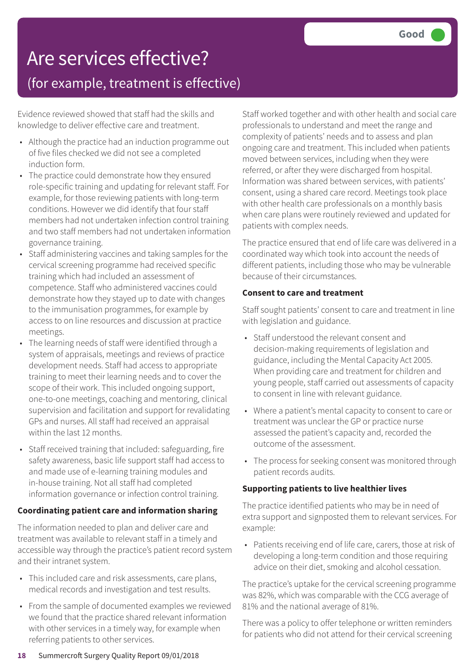## Are services effective?

### (for example, treatment is effective)

Evidence reviewed showed that staff had the skills and knowledge to deliver effective care and treatment.

- Although the practice had an induction programme out of five files checked we did not see a completed induction form.
- The practice could demonstrate how they ensured role-specific training and updating for relevant staff. For example, for those reviewing patients with long-term conditions. However we did identify that four staff members had not undertaken infection control training and two staff members had not undertaken information governance training.
- Staff administering vaccines and taking samples for the cervical screening programme had received specific training which had included an assessment of competence. Staff who administered vaccines could demonstrate how they stayed up to date with changes to the immunisation programmes, for example by access to on line resources and discussion at practice meetings.
- The learning needs of staff were identified through a system of appraisals, meetings and reviews of practice development needs. Staff had access to appropriate training to meet their learning needs and to cover the scope of their work. This included ongoing support, one-to-one meetings, coaching and mentoring, clinical supervision and facilitation and support for revalidating GPs and nurses. All staff had received an appraisal within the last 12 months.
- Staff received training that included: safeguarding, fire safety awareness, basic life support staff had access to and made use of e-learning training modules and in-house training. Not all staff had completed information governance or infection control training.

#### **Coordinating patient care and information sharing**

The information needed to plan and deliver care and treatment was available to relevant staff in a timely and accessible way through the practice's patient record system and their intranet system.

- This included care and risk assessments, care plans, medical records and investigation and test results.
- From the sample of documented examples we reviewed we found that the practice shared relevant information with other services in a timely way, for example when referring patients to other services.

Staff worked together and with other health and social care professionals to understand and meet the range and complexity of patients' needs and to assess and plan ongoing care and treatment. This included when patients moved between services, including when they were referred, or after they were discharged from hospital. Information was shared between services, with patients' consent, using a shared care record. Meetings took place with other health care professionals on a monthly basis when care plans were routinely reviewed and updated for patients with complex needs.

The practice ensured that end of life care was delivered in a coordinated way which took into account the needs of different patients, including those who may be vulnerable because of their circumstances.

#### **Consent to care and treatment**

Staff sought patients' consent to care and treatment in line with legislation and guidance.

- Staff understood the relevant consent and decision-making requirements of legislation and guidance, including the Mental Capacity Act 2005. When providing care and treatment for children and young people, staff carried out assessments of capacity to consent in line with relevant guidance.
- Where a patient's mental capacity to consent to care or treatment was unclear the GP or practice nurse assessed the patient's capacity and, recorded the outcome of the assessment.
- The process for seeking consent was monitored through patient records audits.

### **Supporting patients to live healthier lives**

The practice identified patients who may be in need of extra support and signposted them to relevant services. For example:

• Patients receiving end of life care, carers, those at risk of developing a long-term condition and those requiring advice on their diet, smoking and alcohol cessation.

The practice's uptake for the cervical screening programme was 82%, which was comparable with the CCG average of 81% and the national average of 81%.

There was a policy to offer telephone or written reminders for patients who did not attend for their cervical screening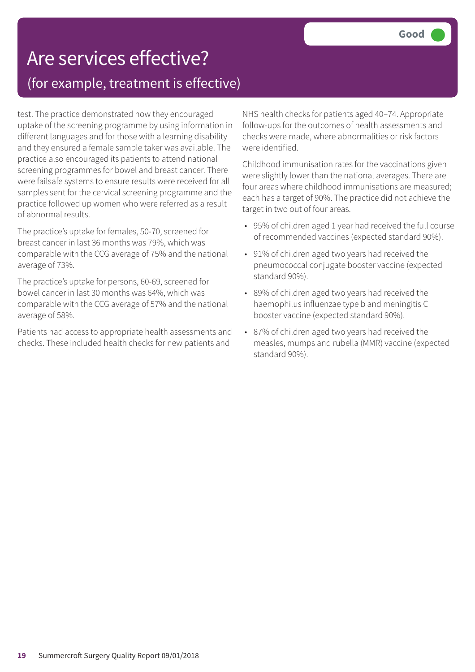### Are services effective? (for example, treatment is effective)

test. The practice demonstrated how they encouraged uptake of the screening programme by using information in different languages and for those with a learning disability and they ensured a female sample taker was available. The practice also encouraged its patients to attend national screening programmes for bowel and breast cancer. There were failsafe systems to ensure results were received for all samples sent for the cervical screening programme and the practice followed up women who were referred as a result of abnormal results.

The practice's uptake for females, 50-70, screened for breast cancer in last 36 months was 79%, which was comparable with the CCG average of 75% and the national average of 73%.

The practice's uptake for persons, 60-69, screened for bowel cancer in last 30 months was 64%, which was comparable with the CCG average of 57% and the national average of 58%.

Patients had access to appropriate health assessments and checks. These included health checks for new patients and

NHS health checks for patients aged 40–74. Appropriate follow-ups for the outcomes of health assessments and checks were made, where abnormalities or risk factors were identified.

Childhood immunisation rates for the vaccinations given were slightly lower than the national averages. There are four areas where childhood immunisations are measured; each has a target of 90%. The practice did not achieve the target in two out of four areas.

- 95% of children aged 1 year had received the full course of recommended vaccines (expected standard 90%).
- 91% of children aged two years had received the pneumococcal conjugate booster vaccine (expected standard 90%).
- 89% of children aged two years had received the haemophilus influenzae type b and meningitis C booster vaccine (expected standard 90%).
- 87% of children aged two years had received the measles, mumps and rubella (MMR) vaccine (expected standard 90%).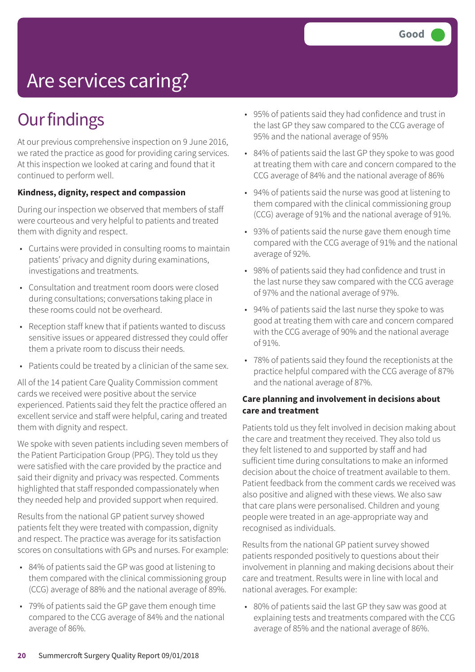# Are services caring?

### **Our findings**

At our previous comprehensive inspection on 9 June 2016, we rated the practice as good for providing caring services. At this inspection we looked at caring and found that it continued to perform well.

#### **Kindness, dignity, respect and compassion**

During our inspection we observed that members of staff were courteous and very helpful to patients and treated them with dignity and respect.

- Curtains were provided in consulting rooms to maintain patients' privacy and dignity during examinations, investigations and treatments.
- Consultation and treatment room doors were closed during consultations; conversations taking place in these rooms could not be overheard.
- Reception staff knew that if patients wanted to discuss sensitive issues or appeared distressed they could offer them a private room to discuss their needs.
- Patients could be treated by a clinician of the same sex.

All of the 14 patient Care Quality Commission comment cards we received were positive about the service experienced. Patients said they felt the practice offered an excellent service and staff were helpful, caring and treated them with dignity and respect.

We spoke with seven patients including seven members of the Patient Participation Group (PPG). They told us they were satisfied with the care provided by the practice and said their dignity and privacy was respected. Comments highlighted that staff responded compassionately when they needed help and provided support when required.

Results from the national GP patient survey showed patients felt they were treated with compassion, dignity and respect. The practice was average for its satisfaction scores on consultations with GPs and nurses. For example:

- 84% of patients said the GP was good at listening to them compared with the clinical commissioning group (CCG) average of 88% and the national average of 89%.
- 79% of patients said the GP gave them enough time compared to the CCG average of 84% and the national average of 86%.
- 95% of patients said they had confidence and trust in the last GP they saw compared to the CCG average of 95% and the national average of 95%
- 84% of patients said the last GP they spoke to was good at treating them with care and concern compared to the CCG average of 84% and the national average of 86%
- 94% of patients said the nurse was good at listening to them compared with the clinical commissioning group (CCG) average of 91% and the national average of 91%.
- 93% of patients said the nurse gave them enough time compared with the CCG average of 91% and the national average of 92%.
- 98% of patients said they had confidence and trust in the last nurse they saw compared with the CCG average of 97% and the national average of 97%.
- 94% of patients said the last nurse they spoke to was good at treating them with care and concern compared with the CCG average of 90% and the national average of 91%.
- 78% of patients said they found the receptionists at the practice helpful compared with the CCG average of 87% and the national average of 87%.

#### **Care planning and involvement in decisions about care and treatment**

Patients told us they felt involved in decision making about the care and treatment they received. They also told us they felt listened to and supported by staff and had sufficient time during consultations to make an informed decision about the choice of treatment available to them. Patient feedback from the comment cards we received was also positive and aligned with these views. We also saw that care plans were personalised. Children and young people were treated in an age-appropriate way and recognised as individuals.

Results from the national GP patient survey showed patients responded positively to questions about their involvement in planning and making decisions about their care and treatment. Results were in line with local and national averages. For example:

• 80% of patients said the last GP they saw was good at explaining tests and treatments compared with the CCG average of 85% and the national average of 86%.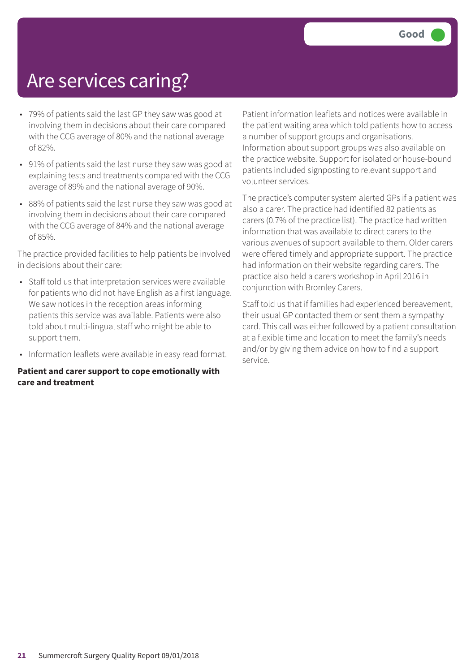### Are services caring?

- 79% of patients said the last GP they saw was good at involving them in decisions about their care compared with the CCG average of 80% and the national average of 82%.
- 91% of patients said the last nurse they saw was good at explaining tests and treatments compared with the CCG average of 89% and the national average of 90%.
- 88% of patients said the last nurse they saw was good at involving them in decisions about their care compared with the CCG average of 84% and the national average of 85%.

The practice provided facilities to help patients be involved in decisions about their care:

- Staff told us that interpretation services were available for patients who did not have English as a first language. We saw notices in the reception areas informing patients this service was available. Patients were also told about multi-lingual staff who might be able to support them.
- Information leaflets were available in easy read format.

#### **Patient and carer support to cope emotionally with care and treatment**

Patient information leaflets and notices were available in the patient waiting area which told patients how to access a number of support groups and organisations. Information about support groups was also available on the practice website. Support for isolated or house-bound patients included signposting to relevant support and volunteer services.

The practice's computer system alerted GPs if a patient was also a carer. The practice had identified 82 patients as carers (0.7% of the practice list). The practice had written information that was available to direct carers to the various avenues of support available to them. Older carers were offered timely and appropriate support. The practice had information on their website regarding carers. The practice also held a carers workshop in April 2016 in conjunction with Bromley Carers.

Staff told us that if families had experienced bereavement, their usual GP contacted them or sent them a sympathy card. This call was either followed by a patient consultation at a flexible time and location to meet the family's needs and/or by giving them advice on how to find a support service.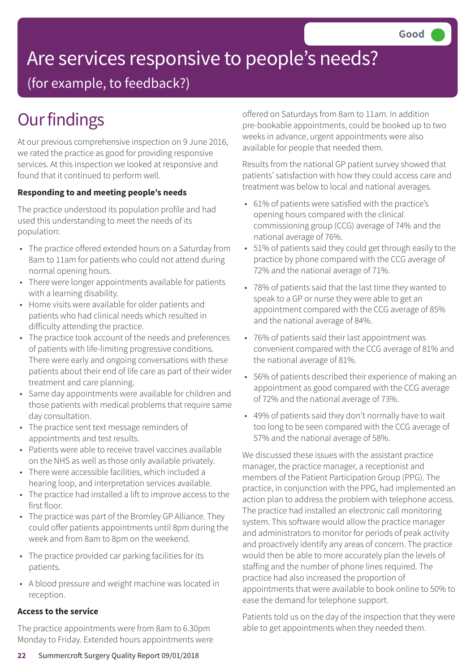# Are services responsive to people's needs?

(for example, to feedback?)

## **Our findings**

At our previous comprehensive inspection on 9 June 2016, we rated the practice as good for providing responsive services. At this inspection we looked at responsive and found that it continued to perform well.

### **Responding to and meeting people's needs**

The practice understood its population profile and had used this understanding to meet the needs of its population:

- The practice offered extended hours on a Saturday from 8am to 11am for patients who could not attend during normal opening hours.
- There were longer appointments available for patients with a learning disability.
- Home visits were available for older patients and patients who had clinical needs which resulted in difficulty attending the practice.
- The practice took account of the needs and preferences of patients with life-limiting progressive conditions. There were early and ongoing conversations with these patients about their end of life care as part of their wider treatment and care planning.
- Same day appointments were available for children and those patients with medical problems that require same day consultation.
- The practice sent text message reminders of appointments and test results.
- Patients were able to receive travel vaccines available on the NHS as well as those only available privately.
- There were accessible facilities, which included a hearing loop, and interpretation services available.
- The practice had installed a lift to improve access to the first floor.
- The practice was part of the Bromley GP Alliance. They could offer patients appointments until 8pm during the week and from 8am to 8pm on the weekend.
- The practice provided car parking facilities for its patients.
- A blood pressure and weight machine was located in reception.

### **Access to the service**

The practice appointments were from 8am to 6.30pm Monday to Friday. Extended hours appointments were offered on Saturdays from 8am to 11am. In addition pre-bookable appointments, could be booked up to two weeks in advance, urgent appointments were also available for people that needed them.

Results from the national GP patient survey showed that patients' satisfaction with how they could access care and treatment was below to local and national averages.

- 61% of patients were satisfied with the practice's opening hours compared with the clinical commissioning group (CCG) average of 74% and the national average of 76%.
- 51% of patients said they could get through easily to the practice by phone compared with the CCG average of 72% and the national average of 71%.
- 78% of patients said that the last time they wanted to speak to a GP or nurse they were able to get an appointment compared with the CCG average of 85% and the national average of 84%.
- 76% of patients said their last appointment was convenient compared with the CCG average of 81% and the national average of 81%.
- 56% of patients described their experience of making an appointment as good compared with the CCG average of 72% and the national average of 73%.
- 49% of patients said they don't normally have to wait too long to be seen compared with the CCG average of 57% and the national average of 58%.

We discussed these issues with the assistant practice manager, the practice manager, a receptionist and members of the Patient Participation Group (PPG). The practice, in conjunction with the PPG, had implemented an action plan to address the problem with telephone access. The practice had installed an electronic call monitoring system. This software would allow the practice manager and administrators to monitor for periods of peak activity and proactively identify any areas of concern. The practice would then be able to more accurately plan the levels of staffing and the number of phone lines required. The practice had also increased the proportion of appointments that were available to book online to 50% to ease the demand for telephone support.

Patients told us on the day of the inspection that they were able to get appointments when they needed them.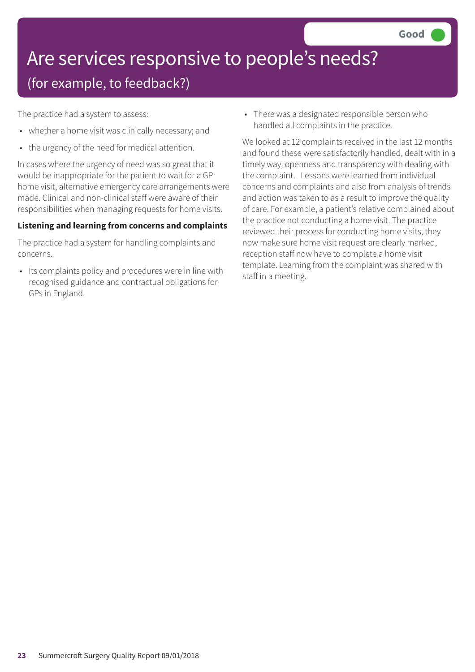### Are services responsive to people's needs? (for example, to feedback?)

The practice had a system to assess:

- whether a home visit was clinically necessary; and
- the urgency of the need for medical attention.

In cases where the urgency of need was so great that it would be inappropriate for the patient to wait for a GP home visit, alternative emergency care arrangements were made. Clinical and non-clinical staff were aware of their responsibilities when managing requests for home visits.

#### **Listening and learning from concerns and complaints**

The practice had a system for handling complaints and concerns.

• Its complaints policy and procedures were in line with recognised guidance and contractual obligations for GPs in England.

• There was a designated responsible person who handled all complaints in the practice.

We looked at 12 complaints received in the last 12 months and found these were satisfactorily handled, dealt with in a timely way, openness and transparency with dealing with the complaint. Lessons were learned from individual concerns and complaints and also from analysis of trends and action was taken to as a result to improve the quality of care. For example, a patient's relative complained about the practice not conducting a home visit. The practice reviewed their process for conducting home visits, they now make sure home visit request are clearly marked, reception staff now have to complete a home visit template. Learning from the complaint was shared with staff in a meeting.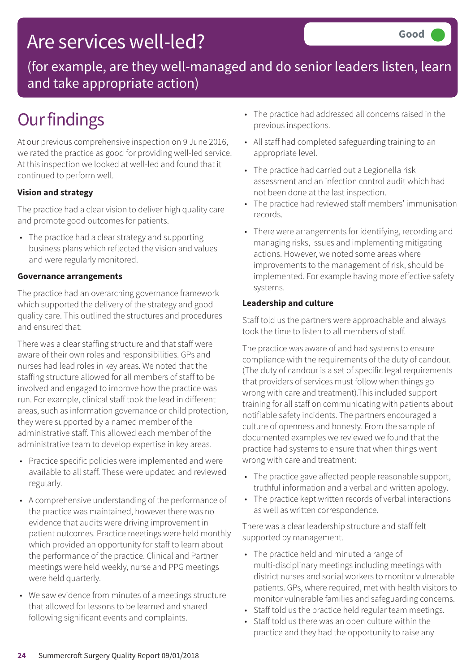### Are services well-led?

(for example, are they well-managed and do senior leaders listen, learn and take appropriate action)

## **Our findings**

At our previous comprehensive inspection on 9 June 2016, we rated the practice as good for providing well-led service. At this inspection we looked at well-led and found that it continued to perform well.

### **Vision and strategy**

The practice had a clear vision to deliver high quality care and promote good outcomes for patients.

• The practice had a clear strategy and supporting business plans which reflected the vision and values and were regularly monitored.

### **Governance arrangements**

The practice had an overarching governance framework which supported the delivery of the strategy and good quality care. This outlined the structures and procedures and ensured that:

There was a clear staffing structure and that staff were aware of their own roles and responsibilities. GPs and nurses had lead roles in key areas. We noted that the staffing structure allowed for all members of staff to be involved and engaged to improve how the practice was run. For example, clinical staff took the lead in different areas, such as information governance or child protection, they were supported by a named member of the administrative staff. This allowed each member of the administrative team to develop expertise in key areas.

- Practice specific policies were implemented and were available to all staff. These were updated and reviewed regularly.
- A comprehensive understanding of the performance of the practice was maintained, however there was no evidence that audits were driving improvement in patient outcomes. Practice meetings were held monthly which provided an opportunity for staff to learn about the performance of the practice. Clinical and Partner meetings were held weekly, nurse and PPG meetings were held quarterly.
- We saw evidence from minutes of a meetings structure that allowed for lessons to be learned and shared following significant events and complaints.
- The practice had addressed all concerns raised in the previous inspections.
- All staff had completed safeguarding training to an appropriate level.
- The practice had carried out a Legionella risk assessment and an infection control audit which had not been done at the last inspection.
- The practice had reviewed staff members' immunisation records.
- There were arrangements for identifying, recording and managing risks, issues and implementing mitigating actions. However, we noted some areas where improvements to the management of risk, should be implemented. For example having more effective safety systems.

#### **Leadership and culture**

Staff told us the partners were approachable and always took the time to listen to all members of staff.

The practice was aware of and had systems to ensure compliance with the requirements of the duty of candour. (The duty of candour is a set of specific legal requirements that providers of services must follow when things go wrong with care and treatment).This included support training for all staff on communicating with patients about notifiable safety incidents. The partners encouraged a culture of openness and honesty. From the sample of documented examples we reviewed we found that the practice had systems to ensure that when things went wrong with care and treatment:

- The practice gave affected people reasonable support, truthful information and a verbal and written apology.
- The practice kept written records of verbal interactions as well as written correspondence.

There was a clear leadership structure and staff felt supported by management.

- The practice held and minuted a range of multi-disciplinary meetings including meetings with district nurses and social workers to monitor vulnerable patients. GPs, where required, met with health visitors to monitor vulnerable families and safeguarding concerns.
- Staff told us the practice held regular team meetings.
- Staff told us there was an open culture within the practice and they had the opportunity to raise any